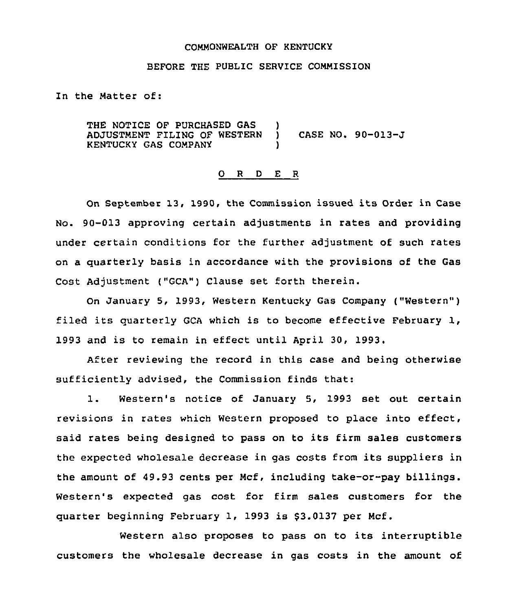#### COMMONWEALTH OF KENTUCKY

## BEFORE THE PUBLIC SERVICE COMMISSION

In the Matter of:

THE NOTICE OF PURCHASED GAS ADJUSTMENT FILING OF WESTERN KENTUCKY GAS COMPANY ) ) CASE NO <sup>~</sup> 90-013-J )

#### 0 <sup>R</sup> <sup>D</sup> E <sup>R</sup>

On September 13, 1990, the Commission issued its Order in Case No. 90-013 approving certain adjustments in rates and providing under certain conditions for the further adjustment of such rates on a quarterly basis in accordance with the provisions of the Gas Cost Adjustment ("GCA") Clause set forth therein.

On January 5, 1993, Western Kentucky Gas Company ("Western" ) filed its quarterly GCA which is to become effective February 1, 1993 and is to remain in effect until April 30, 1993.

After reviewing the record in this case and being otherwise sufficiently advised, the Commission finds that:

1. Western's notice of January 5, <sup>1993</sup> set out certain revisions in rates which Western proposed to place into effect, said rates being designed to pass on to its firm sales customers the expected wholesale decrease in gas costs from its suppliers in the amount of 49.93 cents per Mcf, including take-or-pay billings. Western's expected gas cost for firm sales customers for the quarter beginning February 1, 1993 is \$3.0137 per Mcf.

Western also proposes to pass on to its interruptible customers the wholesale decrease in gas costs in the amount of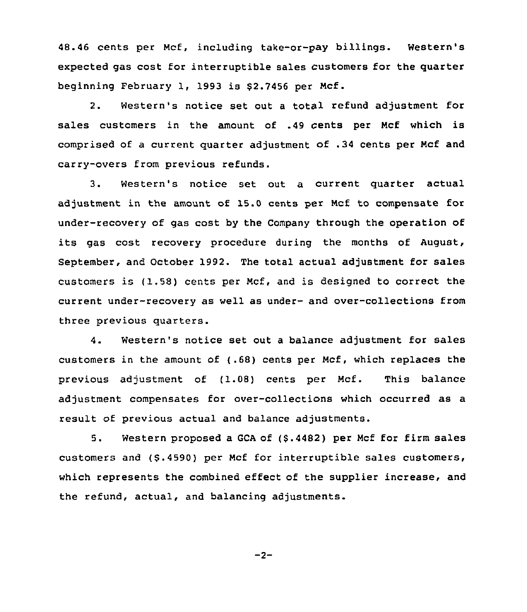48.46 cents per Mcf, including take-or-pay billings. Western's expected gas cost for interruptible sales customers for the quarter beginning February 1, 1993 is \$2.7456 per Mcf.

2. Western's notice set out a total refund adjustment for sales customers in the amount of .49 cents per Mcf which is comprised of a current quarter adjustment of .34 cents per Ncf and carry-overs from previous refunds.

3. Western's notice set out <sup>a</sup> current quarter actual adjustment in the amount of 15.0 cents per Mcf to compensate for under-recovery of gas cost by the Company through the operation of its gas cost recovery procedure during the months of August, September, and Dctober 1992. The total actual adjustment for sales customers is (1,58) cents per Ncf, and is designed to correct the current under-recovery as well as under- and over-collections from three previous quarters.

4. Western's notice set out a balance adjustment for sales customers in the amount of (.68) cents per Mcf, which replaces the previous adjustment of (1.08) cents per Mcf. This balance adjustment compensates for over-collections which occurred as a result of previous actual and balance adjustments.

5. Western proposed a GCA of (\$ .4482) per Mcf for firm sales customers and (8.4590) per Mcf for interruptible sales customers, which represents the combined effect of the supplier increase, and the refund, actual, and balancing adjustments.

 $-2-$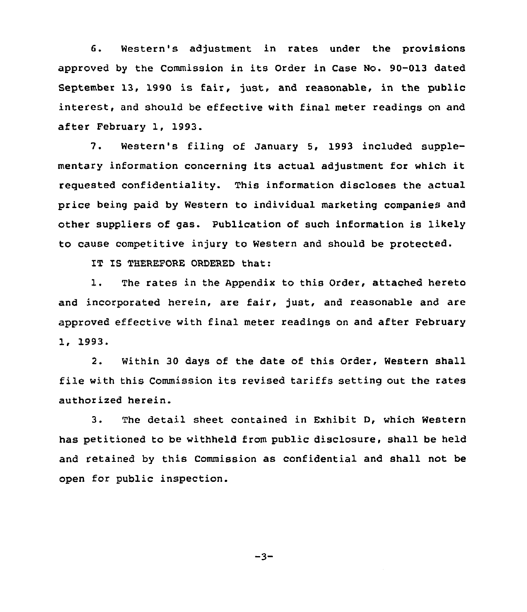6. Western's adjustment in rates under the provisions approved by the Commission in its Order in Case No. 90-013 dated September 13, 1990 is fair, just, and reasonable, in the public interest, and should be effective with final meter readings on and after February 1, 1993.

7. Western's filing of January 5, 1993 included supplementary information concerning its actual adjustment for which it requested confidentiality. This information discloses the actual price being paid by Western to individual marketing companies and other suppliers of gas. Publication of such information is likely to cause competitive injury to Western and should be protected.

IT IS THEREFORE ORDERED that:

1. The rates in the Appendix to this Order, attached hereto and incorporated herein, are fair, just, and reasonable and are approved effective with final meter readings on and after February 1, 1993.

2. Within 30 days of the date of this Order, Western shall file with this Commission its revised tariffs setting out the rates authorized herein.

3. The detail sheet contained in Exhibit D, which Western has petitioned to be withheld from public disclosure, shall be held and retained by this Commission as confidential and shall not be open for public inspection.

 $-3-$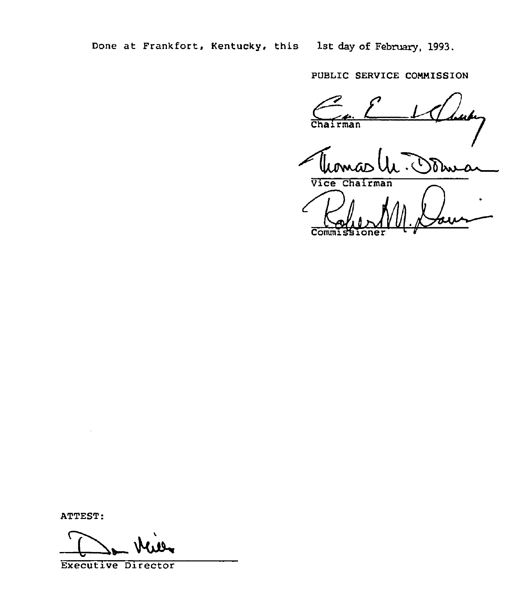Done at Frankfort, Kentucky. this 1st day of February, 1993.

PUBLIC SERVICE COMNISSION

 $L/2$ Chairman

Vice Chairman

Commissioner

ATTEST:

Executive Director